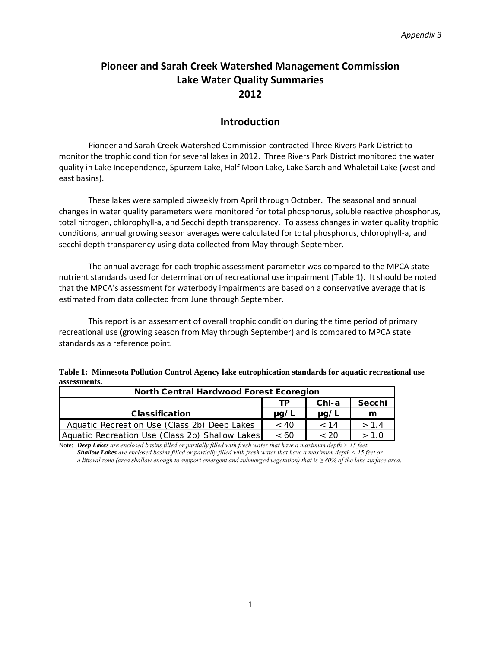# **Pioneer and Sarah Creek Watershed Management Commission Lake Water Quality Summaries 2012**

# **Introduction**

Pioneer and Sarah Creek Watershed Commission contracted Three Rivers Park District to monitor the trophic condition for several lakes in 2012. Three Rivers Park District monitored the water quality in Lake Independence, Spurzem Lake, Half Moon Lake, Lake Sarah and Whaletail Lake (west and east basins).

These lakes were sampled biweekly from April through October. The seasonal and annual changes in water quality parameters were monitored for total phosphorus, soluble reactive phosphorus, total nitrogen, chlorophyll‐a, and Secchi depth transparency. To assess changes in water quality trophic conditions, annual growing season averages were calculated for total phosphorus, chlorophyll‐a, and secchi depth transparency using data collected from May through September.

The annual average for each trophic assessment parameter was compared to the MPCA state nutrient standards used for determination of recreational use impairment (Table 1). It should be noted that the MPCA's assessment for waterbody impairments are based on a conservative average that is estimated from data collected from June through September.

This report is an assessment of overall trophic condition during the time period of primary recreational use (growing season from May through September) and is compared to MPCA state standards as a reference point.

| Table 1: Minnesota Pollution Control Agency lake eutrophication standards for aquatic recreational use |  |
|--------------------------------------------------------------------------------------------------------|--|
| assessments.                                                                                           |  |

| <b>North Central Hardwood Forest Ecoregion</b>  |           |           |        |
|-------------------------------------------------|-----------|-----------|--------|
|                                                 | ТP        | $ChI-a$   | Secchi |
| <b>Classification</b>                           | $\mu$ g/L | $\mu$ g/L | m      |
| Aquatic Recreation Use (Class 2b) Deep Lakes    | ~< 40     | < 14      | > 1.4  |
| Aquatic Recreation Use (Class 2b) Shallow Lakes | <60       | ~< 20     | > 1.0  |

Note: *Deep Lakes are enclosed basins filled or partially filled with fresh water that have a maximum depth > 15 feet. Shallow Lakes are enclosed basins filled or partially filled with fresh water that have a maximum depth < 15 feet or a littoral zone (area shallow enough to support emergent and submerged vegetation) that is ≥ 80% of the lake surface area.*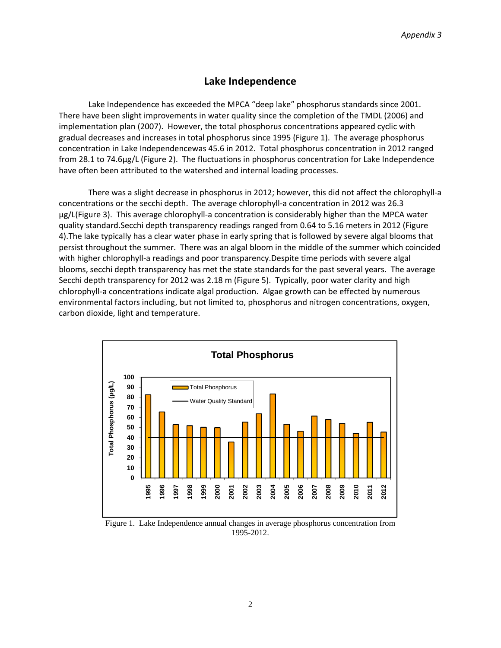### **Lake Independence**

Lake Independence has exceeded the MPCA "deep lake" phosphorus standards since 2001. There have been slight improvements in water quality since the completion of the TMDL (2006) and implementation plan (2007). However, the total phosphorus concentrations appeared cyclic with gradual decreases and increases in total phosphorus since 1995 (Figure 1). The average phosphorus concentration in Lake Independencewas 45.6 in 2012. Total phosphorus concentration in 2012 ranged from 28.1 to 74.6µg/L (Figure 2). The fluctuations in phosphorus concentration for Lake Independence have often been attributed to the watershed and internal loading processes.

There was a slight decrease in phosphorus in 2012; however, this did not affect the chlorophyll‐a concentrations or the secchi depth. The average chlorophyll-a concentration in 2012 was 26.3 µg/L(Figure 3). This average chlorophyll‐a concentration is considerably higher than the MPCA water quality standard.Secchi depth transparency readings ranged from 0.64 to 5.16 meters in 2012 (Figure 4).The lake typically has a clear water phase in early spring that is followed by severe algal blooms that persist throughout the summer. There was an algal bloom in the middle of the summer which coincided with higher chlorophyll-a readings and poor transparency. Despite time periods with severe algal blooms, secchi depth transparency has met the state standards for the past several years. The average Secchi depth transparency for 2012 was 2.18 m (Figure 5). Typically, poor water clarity and high chlorophyll-a concentrations indicate algal production. Algae growth can be effected by numerous environmental factors including, but not limited to, phosphorus and nitrogen concentrations, oxygen, carbon dioxide, light and temperature.



Figure 1. Lake Independence annual changes in average phosphorus concentration from 1995-2012.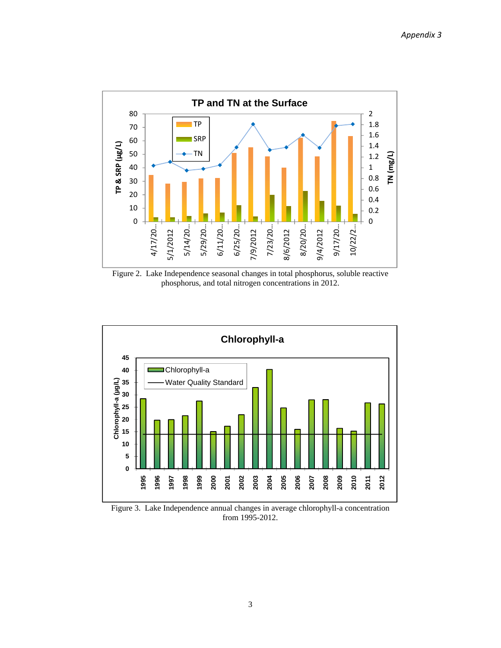

Figure 2. Lake Independence seasonal changes in total phosphorus, soluble reactive phosphorus, and total nitrogen concentrations in 2012.



Figure 3. Lake Independence annual changes in average chlorophyll-a concentration from 1995-2012.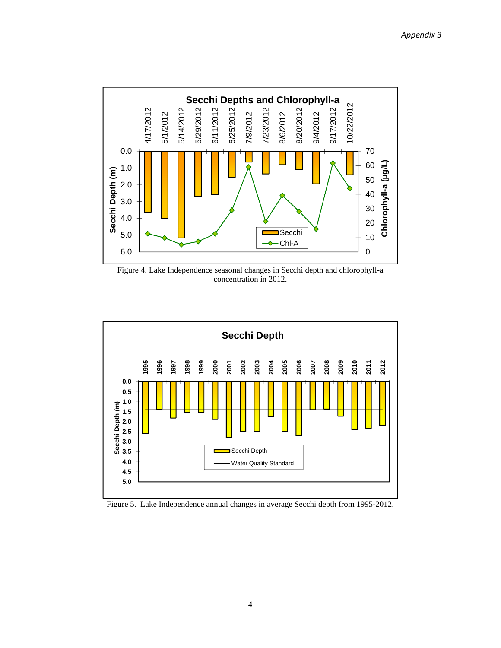

Figure 4. Lake Independence seasonal changes in Secchi depth and chlorophyll-a concentration in 2012.



Figure 5. Lake Independence annual changes in average Secchi depth from 1995-2012.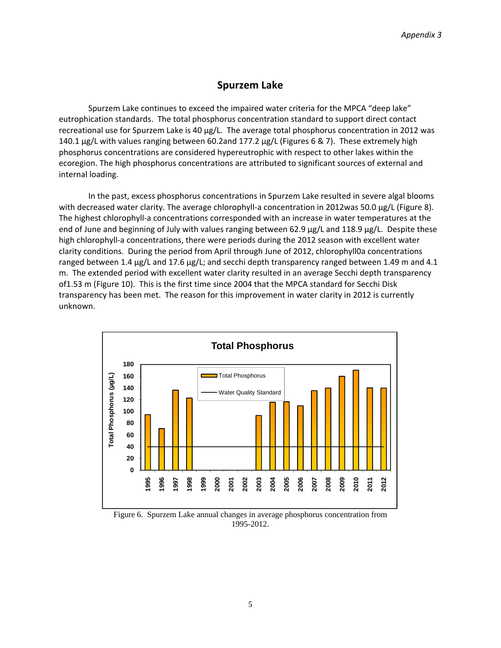## **Spurzem Lake**

Spurzem Lake continues to exceed the impaired water criteria for the MPCA "deep lake" eutrophication standards. The total phosphorus concentration standard to support direct contact recreational use for Spurzem Lake is 40 µg/L. The average total phosphorus concentration in 2012 was 140.1 µg/L with values ranging between 60.2and 177.2 µg/L (Figures 6 & 7). These extremely high phosphorus concentrations are considered hypereutrophic with respect to other lakes within the ecoregion. The high phosphorus concentrations are attributed to significant sources of external and internal loading.

In the past, excess phosphorus concentrations in Spurzem Lake resulted in severe algal blooms with decreased water clarity. The average chlorophyll-a concentration in 2012was 50.0 µg/L (Figure 8). The highest chlorophyll-a concentrations corresponded with an increase in water temperatures at the end of June and beginning of July with values ranging between 62.9 µg/L and 118.9 µg/L. Despite these high chlorophyll-a concentrations, there were periods during the 2012 season with excellent water clarity conditions. During the period from April through June of 2012, chlorophyll0a concentrations ranged between 1.4  $\mu$ g/L and 17.6  $\mu$ g/L; and secchi depth transparency ranged between 1.49 m and 4.1 m. The extended period with excellent water clarity resulted in an average Secchi depth transparency of1.53 m (Figure 10). This is the first time since 2004 that the MPCA standard for Secchi Disk transparency has been met. The reason for this improvement in water clarity in 2012 is currently unknown.



Figure 6. Spurzem Lake annual changes in average phosphorus concentration from 1995-2012.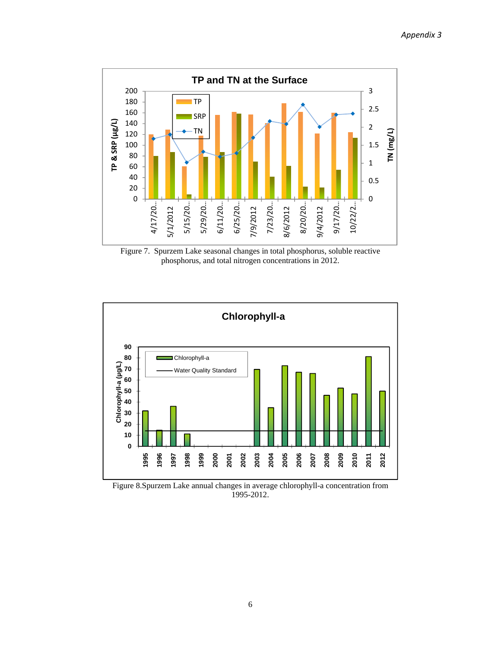

Figure 7. Spurzem Lake seasonal changes in total phosphorus, soluble reactive phosphorus, and total nitrogen concentrations in 2012.



Figure 8.Spurzem Lake annual changes in average chlorophyll-a concentration from 1995-2012.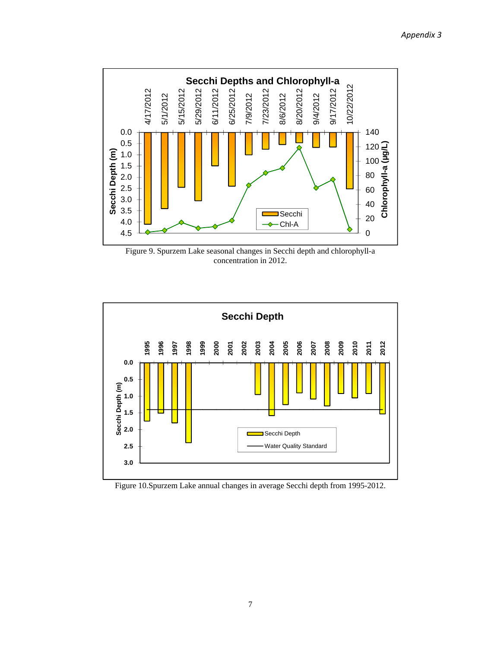

Figure 9. Spurzem Lake seasonal changes in Secchi depth and chlorophyll-a concentration in 2012.



Figure 10.Spurzem Lake annual changes in average Secchi depth from 1995-2012.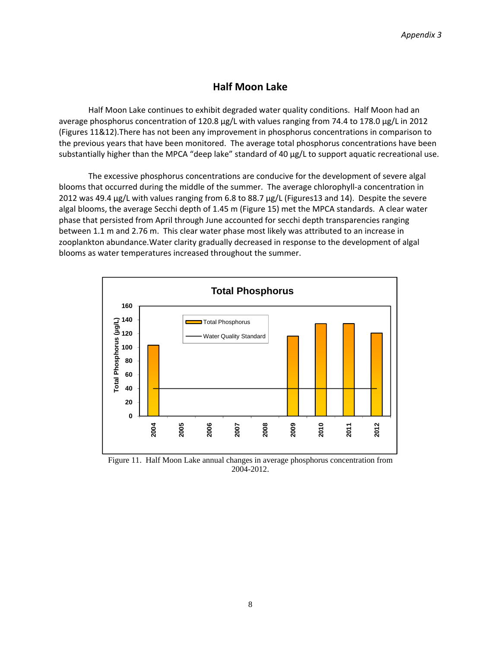# **Half Moon Lake**

Half Moon Lake continues to exhibit degraded water quality conditions. Half Moon had an average phosphorus concentration of 120.8 µg/L with values ranging from 74.4 to 178.0 µg/L in 2012 (Figures 11&12).There has not been any improvement in phosphorus concentrations in comparison to the previous years that have been monitored. The average total phosphorus concentrations have been substantially higher than the MPCA "deep lake" standard of 40 µg/L to support aquatic recreational use.

The excessive phosphorus concentrations are conducive for the development of severe algal blooms that occurred during the middle of the summer. The average chlorophyll‐a concentration in 2012 was 49.4 µg/L with values ranging from 6.8 to 88.7 µg/L (Figures13 and 14). Despite the severe algal blooms, the average Secchi depth of 1.45 m (Figure 15) met the MPCA standards. A clear water phase that persisted from April through June accounted for secchi depth transparencies ranging between 1.1 m and 2.76 m. This clear water phase most likely was attributed to an increase in zooplankton abundance.Water clarity gradually decreased in response to the development of algal blooms as water temperatures increased throughout the summer.



Figure 11. Half Moon Lake annual changes in average phosphorus concentration from 2004-2012.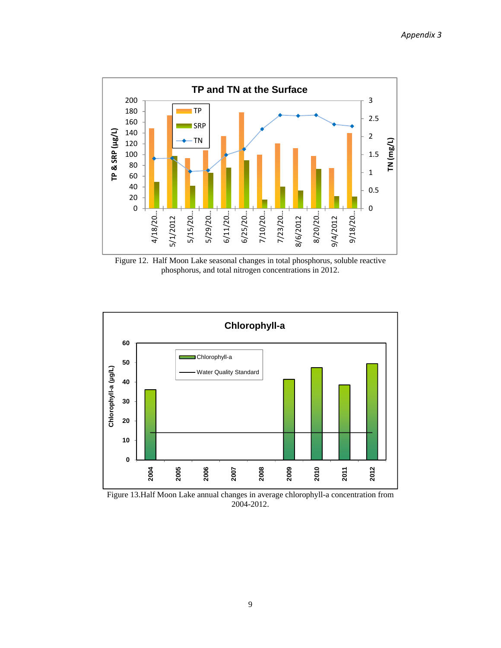

Figure 12. Half Moon Lake seasonal changes in total phosphorus, soluble reactive phosphorus, and total nitrogen concentrations in 2012.



Figure 13.Half Moon Lake annual changes in average chlorophyll-a concentration from 2004-2012.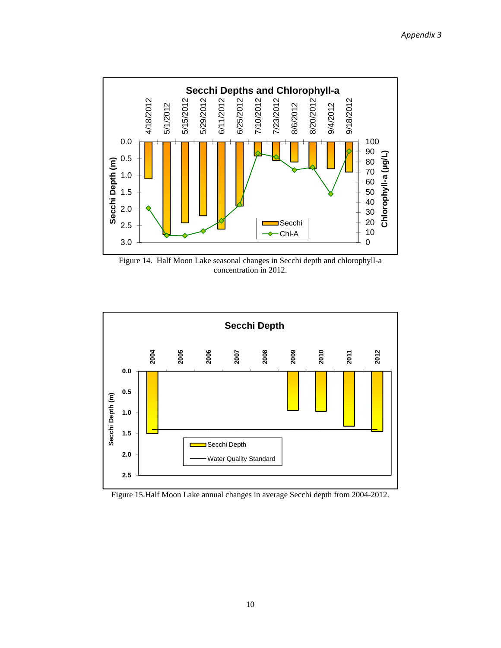

Figure 14. Half Moon Lake seasonal changes in Secchi depth and chlorophyll-a concentration in 2012.



Figure 15.Half Moon Lake annual changes in average Secchi depth from 2004-2012.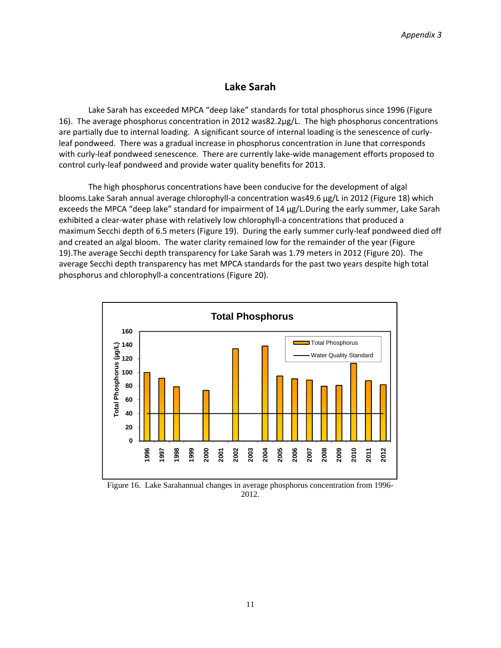### **Lake Sarah**

Lake Sarah has exceeded MPCA "deep lake" standards for total phosphorus since 1996 (Figure 16). The average phosphorus concentration in 2012 was82.2µg/L. The high phosphorus concentrations are partially due to internal loading. A significant source of internal loading is the senescence of curlyleaf pondweed. There was a gradual increase in phosphorus concentration in June that corresponds with curly-leaf pondweed senescence. There are currently lake-wide management efforts proposed to control curly‐leaf pondweed and provide water quality benefits for 2013.

The high phosphorus concentrations have been conducive for the development of algal blooms.Lake Sarah annual average chlorophyll-a concentration was49.6 µg/L in 2012 (Figure 18) which exceeds the MPCA "deep lake" standard for impairment of 14 µg/L.During the early summer, Lake Sarah exhibited a clear-water phase with relatively low chlorophyll-a concentrations that produced a maximum Secchi depth of 6.5 meters (Figure 19). During the early summer curly‐leaf pondweed died off and created an algal bloom. The water clarity remained low for the remainder of the year (Figure 19).The average Secchi depth transparency for Lake Sarah was 1.79 meters in 2012 (Figure 20). The average Secchi depth transparency has met MPCA standards for the past two years despite high total phosphorus and chlorophyll‐a concentrations (Figure 20).



Figure 16. Lake Sarahannual changes in average phosphorus concentration from 1996- 2012.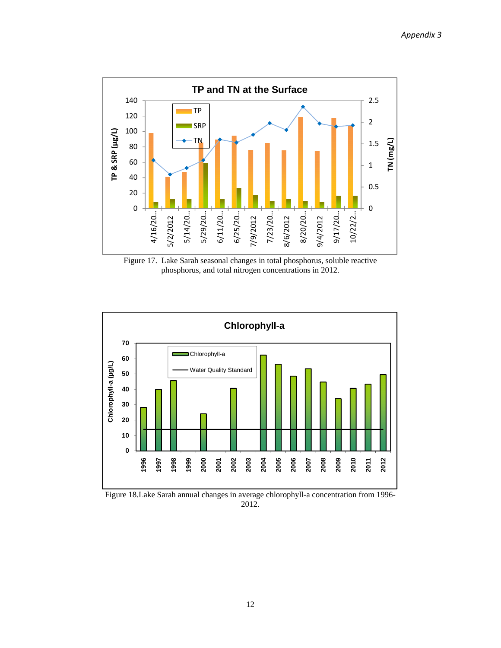

Figure 17. Lake Sarah seasonal changes in total phosphorus, soluble reactive phosphorus, and total nitrogen concentrations in 2012.



Figure 18.Lake Sarah annual changes in average chlorophyll-a concentration from 1996- 2012.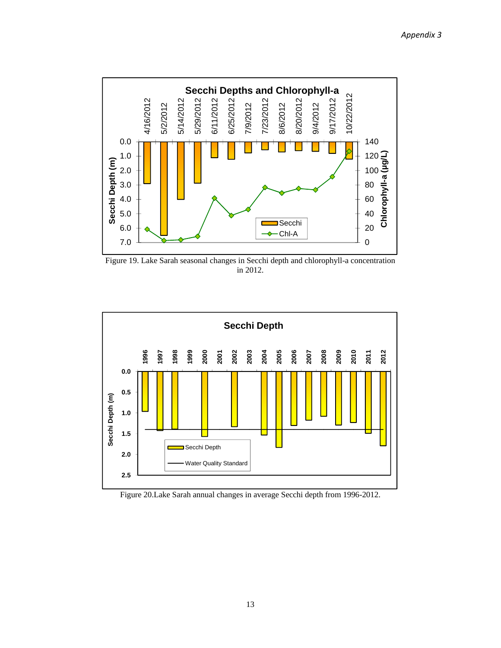

Figure 19. Lake Sarah seasonal changes in Secchi depth and chlorophyll-a concentration in 2012.



Figure 20.Lake Sarah annual changes in average Secchi depth from 1996-2012.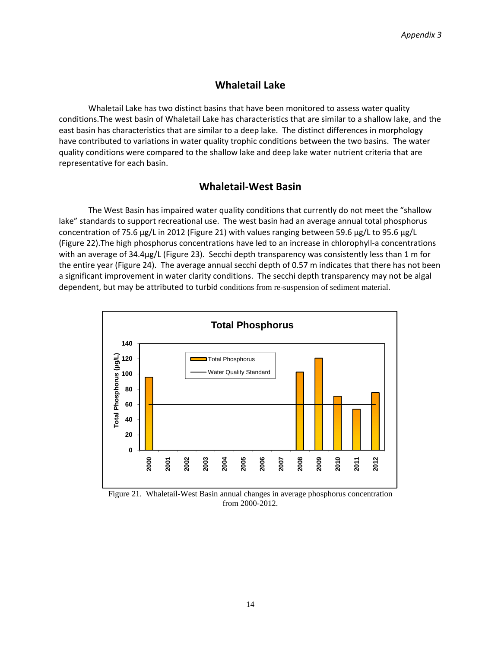## **Whaletail Lake**

Whaletail Lake has two distinct basins that have been monitored to assess water quality conditions.The west basin of Whaletail Lake has characteristics that are similar to a shallow lake, and the east basin has characteristics that are similar to a deep lake. The distinct differences in morphology have contributed to variations in water quality trophic conditions between the two basins. The water quality conditions were compared to the shallow lake and deep lake water nutrient criteria that are representative for each basin.

### **Whaletail‐West Basin**

The West Basin has impaired water quality conditions that currently do not meet the "shallow lake" standards to support recreational use. The west basin had an average annual total phosphorus concentration of 75.6  $\mu$ g/L in 2012 (Figure 21) with values ranging between 59.6  $\mu$ g/L to 95.6  $\mu$ g/L (Figure 22).The high phosphorus concentrations have led to an increase in chlorophyll‐a concentrations with an average of 34.4µg/L (Figure 23). Secchi depth transparency was consistently less than 1 m for the entire year (Figure 24). The average annual secchi depth of 0.57 m indicates that there has not been a significant improvement in water clarity conditions. The secchi depth transparency may not be algal dependent, but may be attributed to turbid conditions from re-suspension of sediment material.



Figure 21. Whaletail-West Basin annual changes in average phosphorus concentration from 2000-2012.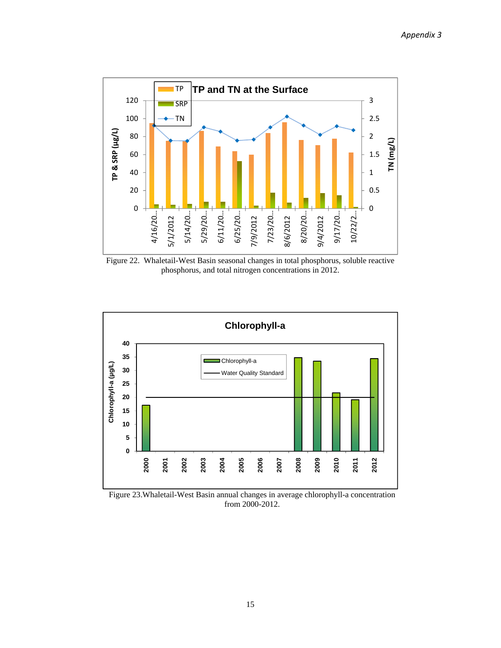

Figure 22. Whaletail-West Basin seasonal changes in total phosphorus, soluble reactive phosphorus, and total nitrogen concentrations in 2012.



Figure 23.Whaletail-West Basin annual changes in average chlorophyll-a concentration from 2000-2012.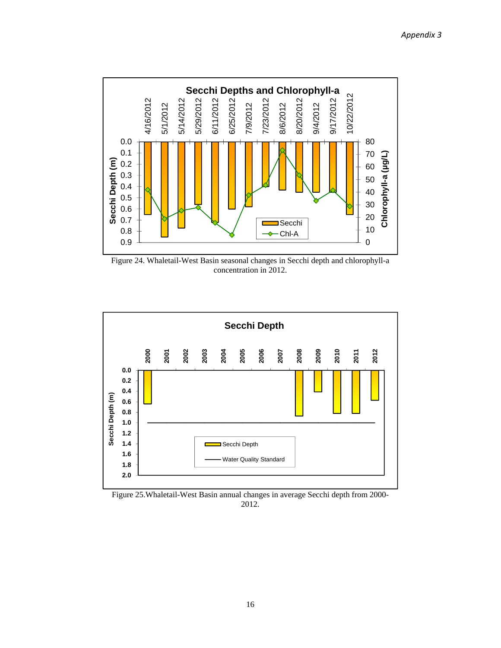

Figure 24. Whaletail-West Basin seasonal changes in Secchi depth and chlorophyll-a concentration in 2012.



Figure 25.Whaletail-West Basin annual changes in average Secchi depth from 2000- 2012.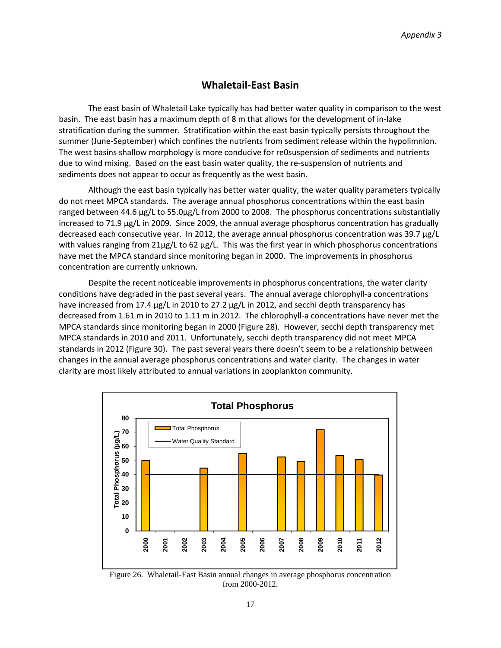## **Whaletail‐East Basin**

The east basin of Whaletail Lake typically has had better water quality in comparison to the west basin. The east basin has a maximum depth of 8 m that allows for the development of in‐lake stratification during the summer. Stratification within the east basin typically persists throughout the summer (June-September) which confines the nutrients from sediment release within the hypolimnion. The west basins shallow morphology is more conducive for re0suspension of sediments and nutrients due to wind mixing. Based on the east basin water quality, the re‐suspension of nutrients and sediments does not appear to occur as frequently as the west basin.

Although the east basin typically has better water quality, the water quality parameters typically do not meet MPCA standards. The average annual phosphorus concentrations within the east basin ranged between 44.6 µg/L to 55.0µg/L from 2000 to 2008. The phosphorus concentrations substantially increased to 71.9 µg/L in 2009. Since 2009, the annual average phosphorus concentration has gradually decreased each consecutive year. In 2012, the average annual phosphorus concentration was 39.7 µg/L with values ranging from 21µg/L to 62 µg/L. This was the first year in which phosphorus concentrations have met the MPCA standard since monitoring began in 2000. The improvements in phosphorus concentration are currently unknown.

Despite the recent noticeable improvements in phosphorus concentrations, the water clarity conditions have degraded in the past several years. The annual average chlorophyll-a concentrations have increased from 17.4 µg/L in 2010 to 27.2 µg/L in 2012, and secchi depth transparency has decreased from 1.61 m in 2010 to 1.11 m in 2012. The chlorophyll-a concentrations have never met the MPCA standards since monitoring began in 2000 (Figure 28). However, secchi depth transparency met MPCA standards in 2010 and 2011. Unfortunately, secchi depth transparency did not meet MPCA standards in 2012 (Figure 30). The past several years there doesn't seem to be a relationship between changes in the annual average phosphorus concentrations and water clarity. The changes in water clarity are most likely attributed to annual variations in zooplankton community.



Figure 26. Whaletail-East Basin annual changes in average phosphorus concentration from 2000-2012.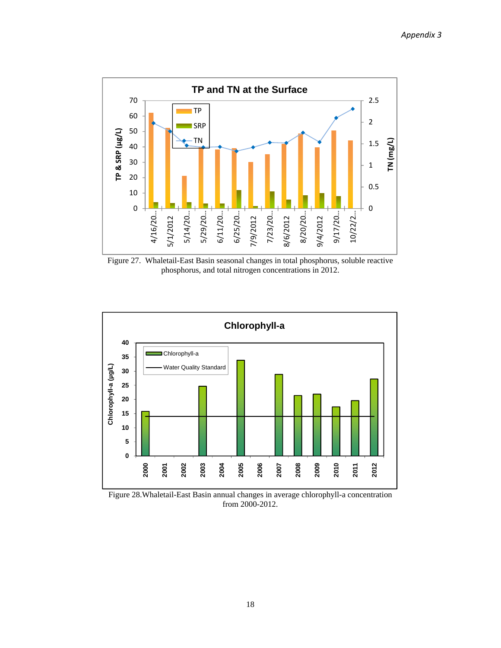

Figure 27. Whaletail-East Basin seasonal changes in total phosphorus, soluble reactive phosphorus, and total nitrogen concentrations in 2012.



Figure 28.Whaletail-East Basin annual changes in average chlorophyll-a concentration from 2000-2012.